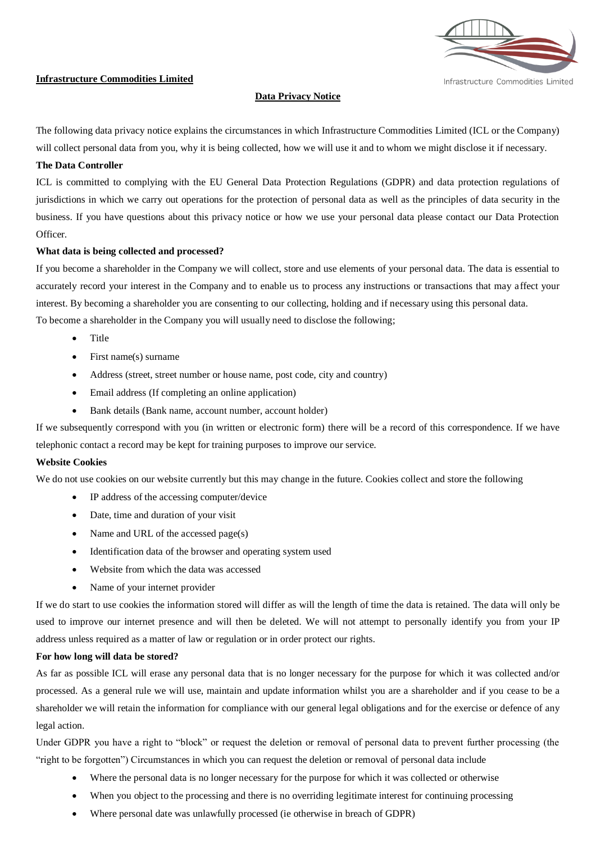

Infrastructure Commodities Limited

#### **Infrastructure Commodities Limited**

# **Data Privacy Notice**

The following data privacy notice explains the circumstances in which Infrastructure Commodities Limited (ICL or the Company) will collect personal data from you, why it is being collected, how we will use it and to whom we might disclose it if necessary.

## **The Data Controller**

ICL is committed to complying with the EU General Data Protection Regulations (GDPR) and data protection regulations of jurisdictions in which we carry out operations for the protection of personal data as well as the principles of data security in the business. If you have questions about this privacy notice or how we use your personal data please contact our Data Protection Officer.

## **What data is being collected and processed?**

If you become a shareholder in the Company we will collect, store and use elements of your personal data. The data is essential to accurately record your interest in the Company and to enable us to process any instructions or transactions that may affect your interest. By becoming a shareholder you are consenting to our collecting, holding and if necessary using this personal data. To become a shareholder in the Company you will usually need to disclose the following;

- Title
- First name(s) surname
- Address (street, street number or house name, post code, city and country)
- Email address (If completing an online application)
- Bank details (Bank name, account number, account holder)

If we subsequently correspond with you (in written or electronic form) there will be a record of this correspondence. If we have telephonic contact a record may be kept for training purposes to improve our service.

## **Website Cookies**

We do not use cookies on our website currently but this may change in the future. Cookies collect and store the following

- IP address of the accessing computer/device
- Date, time and duration of your visit
- Name and URL of the accessed page(s)
- Identification data of the browser and operating system used
- Website from which the data was accessed
- Name of your internet provider

If we do start to use cookies the information stored will differ as will the length of time the data is retained. The data will only be used to improve our internet presence and will then be deleted. We will not attempt to personally identify you from your IP address unless required as a matter of law or regulation or in order protect our rights.

#### **For how long will data be stored?**

As far as possible ICL will erase any personal data that is no longer necessary for the purpose for which it was collected and/or processed. As a general rule we will use, maintain and update information whilst you are a shareholder and if you cease to be a shareholder we will retain the information for compliance with our general legal obligations and for the exercise or defence of any legal action.

Under GDPR you have a right to "block" or request the deletion or removal of personal data to prevent further processing (the "right to be forgotten") Circumstances in which you can request the deletion or removal of personal data include

- Where the personal data is no longer necessary for the purpose for which it was collected or otherwise
- When you object to the processing and there is no overriding legitimate interest for continuing processing
- Where personal date was unlawfully processed (ie otherwise in breach of GDPR)